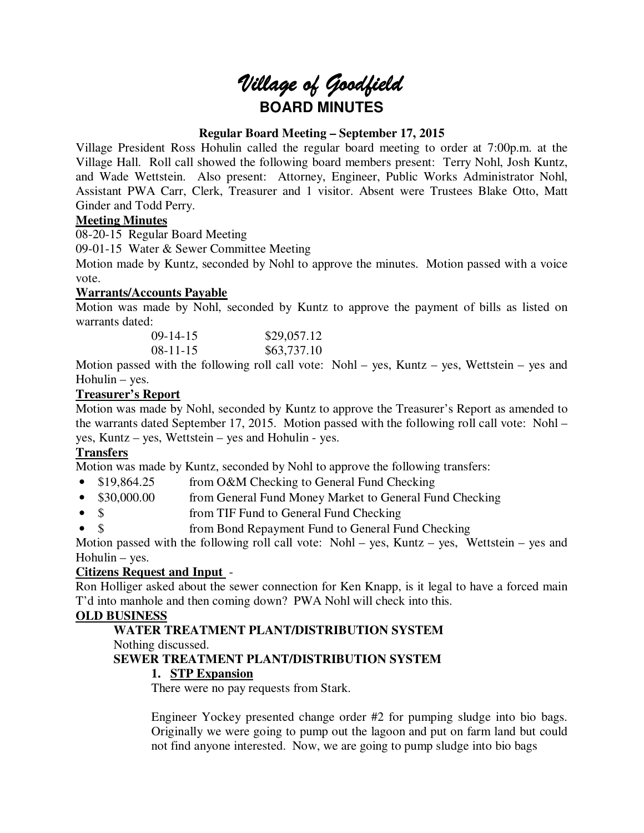# *Village of Goodfield* **BOARD MINUTES**

#### **Regular Board Meeting – September 17, 2015**

Village President Ross Hohulin called the regular board meeting to order at 7:00p.m. at the Village Hall. Roll call showed the following board members present: Terry Nohl, Josh Kuntz, and Wade Wettstein. Also present: Attorney, Engineer, Public Works Administrator Nohl, Assistant PWA Carr, Clerk, Treasurer and 1 visitor. Absent were Trustees Blake Otto, Matt Ginder and Todd Perry.

#### **Meeting Minutes**

08-20-15 Regular Board Meeting

09-01-15 Water & Sewer Committee Meeting

Motion made by Kuntz, seconded by Nohl to approve the minutes. Motion passed with a voice vote.

#### **Warrants/Accounts Payable**

Motion was made by Nohl, seconded by Kuntz to approve the payment of bills as listed on warrants dated:

| $09-14-15$ | \$29,057.12 |
|------------|-------------|
| $08-11-15$ | \$63,737.10 |

Motion passed with the following roll call vote: Nohl – yes, Kuntz – yes, Wettstein – yes and Hohulin – yes.

#### **Treasurer's Report**

Motion was made by Nohl, seconded by Kuntz to approve the Treasurer's Report as amended to the warrants dated September 17, 2015. Motion passed with the following roll call vote: Nohl – yes, Kuntz – yes, Wettstein – yes and Hohulin - yes.

### **Transfers**

Motion was made by Kuntz, seconded by Nohl to approve the following transfers:

- \$19,864.25 from O&M Checking to General Fund Checking
- \$30,000.00 from General Fund Money Market to General Fund Checking
- \$ from TIF Fund to General Fund Checking
- \$ from Bond Repayment Fund to General Fund Checking

Motion passed with the following roll call vote: Nohl – yes, Kuntz – yes, Wettstein – yes and Hohulin – yes.

#### **Citizens Request and Input** -

Ron Holliger asked about the sewer connection for Ken Knapp, is it legal to have a forced main T'd into manhole and then coming down? PWA Nohl will check into this.

### **OLD BUSINESS**

# **WATER TREATMENT PLANT/DISTRIBUTION SYSTEM**

Nothing discussed.

### **SEWER TREATMENT PLANT/DISTRIBUTION SYSTEM**

#### **1. STP Expansion**

There were no pay requests from Stark.

Engineer Yockey presented change order #2 for pumping sludge into bio bags. Originally we were going to pump out the lagoon and put on farm land but could not find anyone interested. Now, we are going to pump sludge into bio bags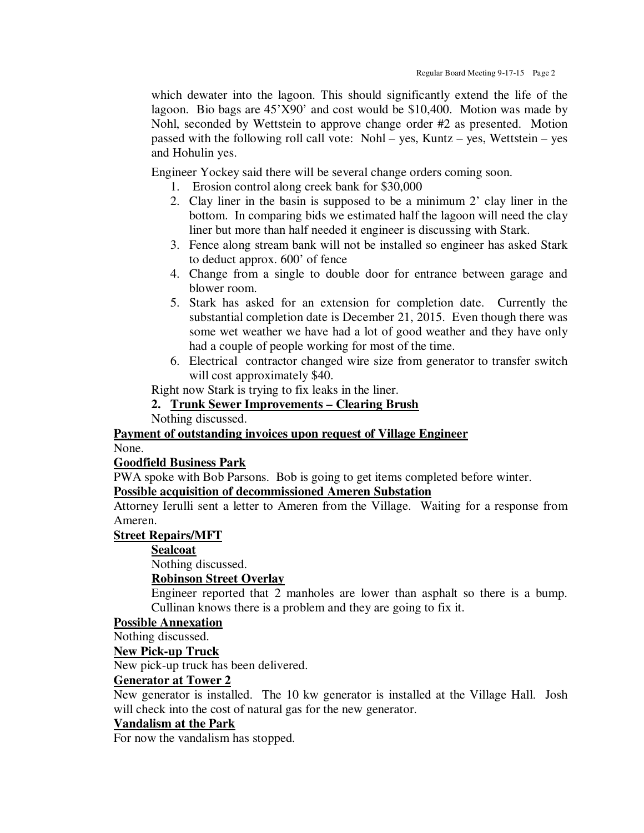which dewater into the lagoon. This should significantly extend the life of the lagoon. Bio bags are 45'X90' and cost would be \$10,400. Motion was made by Nohl, seconded by Wettstein to approve change order #2 as presented. Motion passed with the following roll call vote: Nohl – yes, Kuntz – yes, Wettstein – yes and Hohulin yes.

Engineer Yockey said there will be several change orders coming soon.

- 1. Erosion control along creek bank for \$30,000
- 2. Clay liner in the basin is supposed to be a minimum 2' clay liner in the bottom. In comparing bids we estimated half the lagoon will need the clay liner but more than half needed it engineer is discussing with Stark.
- 3. Fence along stream bank will not be installed so engineer has asked Stark to deduct approx. 600' of fence
- 4. Change from a single to double door for entrance between garage and blower room.
- 5. Stark has asked for an extension for completion date. Currently the substantial completion date is December 21, 2015. Even though there was some wet weather we have had a lot of good weather and they have only had a couple of people working for most of the time.
- 6. Electrical contractor changed wire size from generator to transfer switch will cost approximately \$40.

Right now Stark is trying to fix leaks in the liner.

#### **2. Trunk Sewer Improvements – Clearing Brush**

Nothing discussed.

#### **Payment of outstanding invoices upon request of Village Engineer**

None.

#### **Goodfield Business Park**

PWA spoke with Bob Parsons. Bob is going to get items completed before winter.

## **Possible acquisition of decommissioned Ameren Substation**

Attorney Ierulli sent a letter to Ameren from the Village. Waiting for a response from Ameren.

#### **Street Repairs/MFT**

**Sealcoat** 

Nothing discussed.

#### **Robinson Street Overlay**

Engineer reported that 2 manholes are lower than asphalt so there is a bump. Cullinan knows there is a problem and they are going to fix it.

#### **Possible Annexation**

Nothing discussed.

#### **New Pick-up Truck**

New pick-up truck has been delivered.

#### **Generator at Tower 2**

New generator is installed. The 10 kw generator is installed at the Village Hall. Josh will check into the cost of natural gas for the new generator.

#### **Vandalism at the Park**

For now the vandalism has stopped.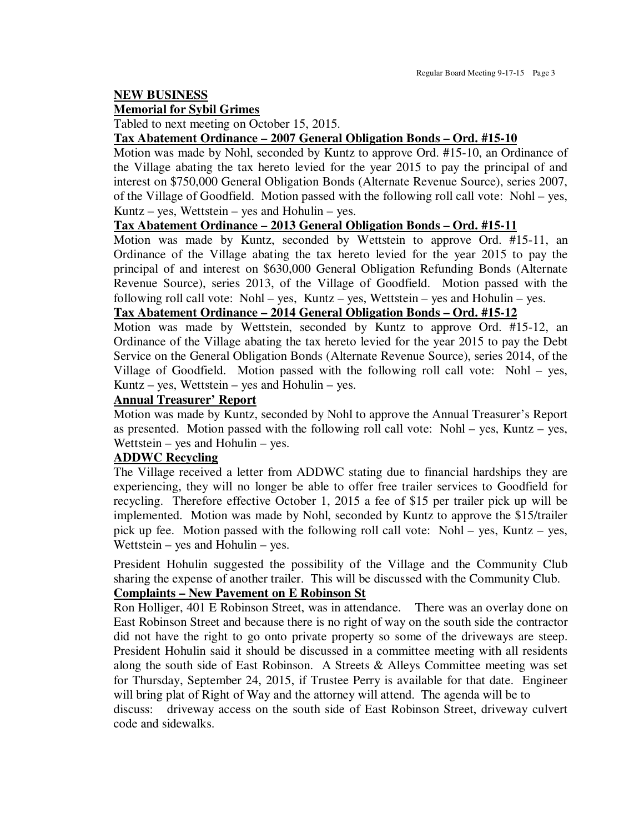#### **NEW BUSINESS**

#### **Memorial for Sybil Grimes**

Tabled to next meeting on October 15, 2015.

#### **Tax Abatement Ordinance – 2007 General Obligation Bonds – Ord. #15-10**

Motion was made by Nohl, seconded by Kuntz to approve Ord. #15-10, an Ordinance of the Village abating the tax hereto levied for the year 2015 to pay the principal of and interest on \$750,000 General Obligation Bonds (Alternate Revenue Source), series 2007, of the Village of Goodfield. Motion passed with the following roll call vote: Nohl – yes, Kuntz – yes, Wettstein – yes and Hohulin – yes.

#### **Tax Abatement Ordinance – 2013 General Obligation Bonds – Ord. #15-11**

Motion was made by Kuntz, seconded by Wettstein to approve Ord. #15-11, an Ordinance of the Village abating the tax hereto levied for the year 2015 to pay the principal of and interest on \$630,000 General Obligation Refunding Bonds (Alternate Revenue Source), series 2013, of the Village of Goodfield. Motion passed with the following roll call vote: Nohl – yes, Kuntz – yes, Wettstein – yes and Hohulin – yes.

#### **Tax Abatement Ordinance – 2014 General Obligation Bonds – Ord. #15-12**

Motion was made by Wettstein, seconded by Kuntz to approve Ord. #15-12, an Ordinance of the Village abating the tax hereto levied for the year 2015 to pay the Debt Service on the General Obligation Bonds (Alternate Revenue Source), series 2014, of the Village of Goodfield. Motion passed with the following roll call vote: Nohl – yes, Kuntz – yes, Wettstein – yes and Hohulin – yes.

#### **Annual Treasurer' Report**

Motion was made by Kuntz, seconded by Nohl to approve the Annual Treasurer's Report as presented. Motion passed with the following roll call vote: Nohl – yes, Kuntz – yes, Wettstein – yes and Hohulin – yes.

#### **ADDWC Recycling**

The Village received a letter from ADDWC stating due to financial hardships they are experiencing, they will no longer be able to offer free trailer services to Goodfield for recycling. Therefore effective October 1, 2015 a fee of \$15 per trailer pick up will be implemented. Motion was made by Nohl, seconded by Kuntz to approve the \$15/trailer pick up fee. Motion passed with the following roll call vote: Nohl – yes, Kuntz – yes, Wettstein – yes and Hohulin – yes.

President Hohulin suggested the possibility of the Village and the Community Club sharing the expense of another trailer. This will be discussed with the Community Club. **Complaints – New Pavement on E Robinson St** 

Ron Holliger, 401 E Robinson Street, was in attendance. There was an overlay done on East Robinson Street and because there is no right of way on the south side the contractor did not have the right to go onto private property so some of the driveways are steep. President Hohulin said it should be discussed in a committee meeting with all residents along the south side of East Robinson. A Streets & Alleys Committee meeting was set for Thursday, September 24, 2015, if Trustee Perry is available for that date. Engineer will bring plat of Right of Way and the attorney will attend. The agenda will be to discuss: driveway access on the south side of East Robinson Street, driveway culvert

code and sidewalks.